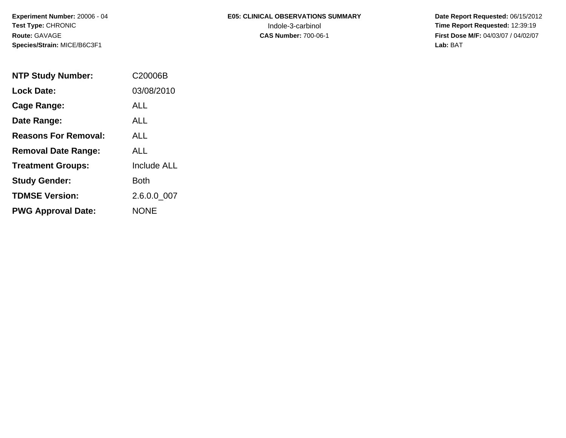# **E05: CLINICAL OBSERVATIONS SUMMARY**

 **Date Report Requested:** 06/15/2012 Indole-3-carbinol **Time Report Requested:** 12:39:19 **First Dose M/F:** 04/03/07 / 04/02/07<br>Lab: BAT **Lab:** BAT

| <b>NTP Study Number:</b>    | C20006B     |
|-----------------------------|-------------|
| <b>Lock Date:</b>           | 03/08/2010  |
| <b>Cage Range:</b>          | ALL         |
| Date Range:                 | ALL.        |
| <b>Reasons For Removal:</b> | AI I        |
| <b>Removal Date Range:</b>  | AI I        |
| <b>Treatment Groups:</b>    | Include ALL |
| <b>Study Gender:</b>        | <b>Both</b> |
| <b>TDMSE Version:</b>       | 2.6.0.0 007 |
| <b>PWG Approval Date:</b>   | <b>NONE</b> |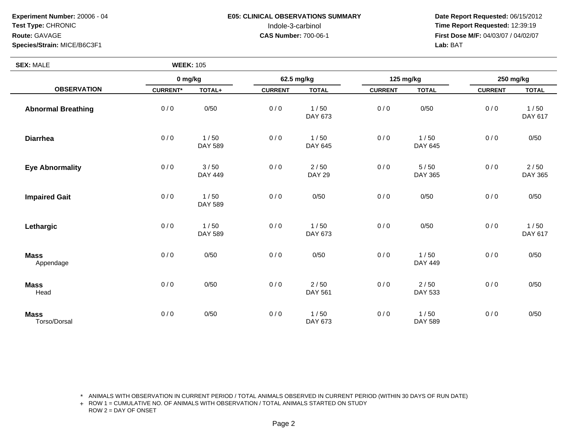**SEX:** MALE

## **E05: CLINICAL OBSERVATIONS SUMMARY**

 **Date Report Requested:** 06/15/2012 Indole-3-carbinol **Time Report Requested:** 12:39:19 **First Dose M/F:** 04/03/07 / 04/02/07<br>Lab: BAT **Lab:** BAT

| <b>SEX: MALE</b>            | <b>WEEK: 105</b> |                 |                |                       |                |                        |                |                   |
|-----------------------------|------------------|-----------------|----------------|-----------------------|----------------|------------------------|----------------|-------------------|
|                             | 0 mg/kg          |                 | 62.5 mg/kg     |                       | 125 mg/kg      |                        | 250 mg/kg      |                   |
| <b>OBSERVATION</b>          | <b>CURRENT*</b>  | TOTAL+          | <b>CURRENT</b> | <b>TOTAL</b>          | <b>CURRENT</b> | <b>TOTAL</b>           | <b>CURRENT</b> | <b>TOTAL</b>      |
| <b>Abnormal Breathing</b>   | 0/0              | 0/50            | 0/0            | 1/50<br>DAY 673       | 0/0            | 0/50                   | 0/0            | 1/50<br>DAY 617   |
| <b>Diarrhea</b>             | 0/0              | 1/50<br>DAY 589 | 0/0            | 1/50<br>DAY 645       | 0/0            | 1/50<br>DAY 645        | 0/0            | 0/50              |
| <b>Eye Abnormality</b>      | 0/0              | 3/50<br>DAY 449 | 0/0            | 2/50<br><b>DAY 29</b> | 0/0            | 5/50<br><b>DAY 365</b> | 0/0            | $2/50$<br>DAY 365 |
| <b>Impaired Gait</b>        | 0/0              | 1/50<br>DAY 589 | 0/0            | 0/50                  | 0/0            | 0/50                   | 0/0            | 0/50              |
| Lethargic                   | 0/0              | 1/50<br>DAY 589 | 0/0            | 1/50<br>DAY 673       | 0/0            | 0/50                   | 0/0            | 1/50<br>DAY 617   |
| <b>Mass</b><br>Appendage    | 0/0              | 0/50            | 0/0            | 0/50                  | 0/0            | 1/50<br><b>DAY 449</b> | 0/0            | 0/50              |
| <b>Mass</b><br>Head         | 0/0              | 0/50            | 0/0            | $2/50$<br>DAY 561     | 0/0            | $2/50$<br>DAY 533      | 0/0            | 0/50              |
| <b>Mass</b><br>Torso/Dorsal | 0/0              | 0/50            | 0/0            | 1/50<br>DAY 673       | 0/0            | 1/50<br>DAY 589        | 0/0            | 0/50              |

\* ANIMALS WITH OBSERVATION IN CURRENT PERIOD / TOTAL ANIMALS OBSERVED IN CURRENT PERIOD (WITHIN 30 DAYS OF RUN DATE)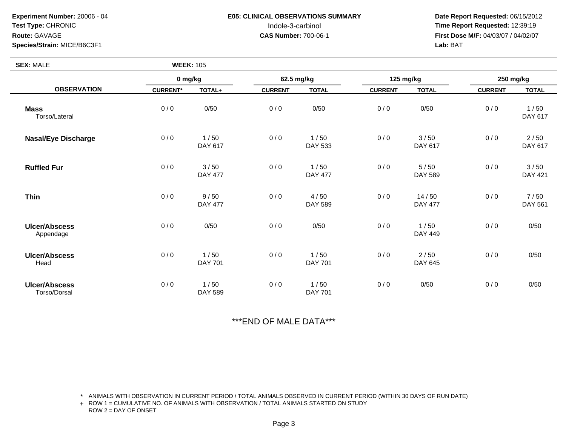**SEX:** MALE

## **E05: CLINICAL OBSERVATIONS SUMMARY**

 **Date Report Requested:** 06/15/2012 Indole-3-carbinol **Time Report Requested:** 12:39:19 **First Dose M/F:** 04/03/07 / 04/02/07<br>**Lab:** BAT **Lab:** BAT

| <b>SEX: MALE</b>                     | <b>WEEK: 105</b> |                        |                |                        |                |                         |                |                        |
|--------------------------------------|------------------|------------------------|----------------|------------------------|----------------|-------------------------|----------------|------------------------|
| <b>OBSERVATION</b>                   | 0 mg/kg          |                        | 62.5 mg/kg     |                        | 125 mg/kg      |                         | 250 mg/kg      |                        |
|                                      | <b>CURRENT*</b>  | TOTAL+                 | <b>CURRENT</b> | <b>TOTAL</b>           | <b>CURRENT</b> | <b>TOTAL</b>            | <b>CURRENT</b> | <b>TOTAL</b>           |
| <b>Mass</b><br>Torso/Lateral         | 0/0              | 0/50                   | 0/0            | 0/50                   | 0/0            | 0/50                    | 0/0            | 1/50<br>DAY 617        |
| <b>Nasal/Eye Discharge</b>           | 0/0              | 1/50<br>DAY 617        | 0/0            | 1/50<br>DAY 533        | 0/0            | 3/50<br>DAY 617         | 0/0            | 2/50<br>DAY 617        |
| <b>Ruffled Fur</b>                   | 0/0              | 3/50<br><b>DAY 477</b> | 0/0            | 1/50<br><b>DAY 477</b> | 0/0            | $5/50$<br>DAY 589       | 0/0            | 3/50<br><b>DAY 421</b> |
| <b>Thin</b>                          | 0/0              | 9/50<br><b>DAY 477</b> | 0/0            | 4/50<br>DAY 589        | 0/0            | 14/50<br><b>DAY 477</b> | 0/0            | 7/50<br>DAY 561        |
| <b>Ulcer/Abscess</b><br>Appendage    | 0/0              | 0/50                   | 0/0            | 0/50                   | 0/0            | 1/50<br><b>DAY 449</b>  | 0/0            | 0/50                   |
| <b>Ulcer/Abscess</b><br>Head         | 0/0              | 1/50<br><b>DAY 701</b> | 0/0            | 1/50<br>DAY 701        | 0/0            | $2/50$<br>DAY 645       | 0/0            | 0/50                   |
| <b>Ulcer/Abscess</b><br>Torso/Dorsal | 0/0              | 1/50<br>DAY 589        | 0/0            | 1/50<br>DAY 701        | 0/0            | 0/50                    | 0/0            | 0/50                   |

\*\*\*END OF MALE DATA\*\*\*

\* ANIMALS WITH OBSERVATION IN CURRENT PERIOD / TOTAL ANIMALS OBSERVED IN CURRENT PERIOD (WITHIN 30 DAYS OF RUN DATE)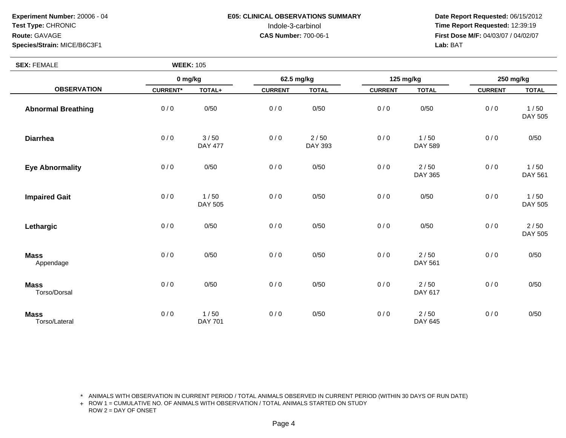## **E05: CLINICAL OBSERVATIONS SUMMARY**

 **Date Report Requested:** 06/15/2012 Indole-3-carbinol **Time Report Requested:** 12:39:19 **First Dose M/F:** 04/03/07 / 04/02/07<br>Lab: BAT **Lab:** BAT

| <b>SEX: FEMALE</b>           | <b>WEEK: 105</b> |                        |                |                 |                |                   |                |                   |
|------------------------------|------------------|------------------------|----------------|-----------------|----------------|-------------------|----------------|-------------------|
|                              | 0 mg/kg          |                        | 62.5 mg/kg     |                 | 125 mg/kg      |                   | 250 mg/kg      |                   |
| <b>OBSERVATION</b>           | <b>CURRENT*</b>  | TOTAL+                 | <b>CURRENT</b> | <b>TOTAL</b>    | <b>CURRENT</b> | <b>TOTAL</b>      | <b>CURRENT</b> | <b>TOTAL</b>      |
| <b>Abnormal Breathing</b>    | 0/0              | 0/50                   | 0/0            | 0/50            | 0/0            | 0/50              | 0/0            | 1/50<br>DAY 505   |
| <b>Diarrhea</b>              | 0/0              | 3/50<br><b>DAY 477</b> | 0/0            | 2/50<br>DAY 393 | 0/0            | 1/50<br>DAY 589   | 0/0            | 0/50              |
| <b>Eye Abnormality</b>       | 0/0              | 0/50                   | 0/0            | 0/50            | 0/0            | $2/50$<br>DAY 365 | 0/0            | 1/50<br>DAY 561   |
| <b>Impaired Gait</b>         | 0/0              | $1/50$<br>DAY 505      | 0/0            | 0/50            | 0/0            | 0/50              | 0/0            | 1/50<br>DAY 505   |
| Lethargic                    | 0/0              | 0/50                   | 0/0            | 0/50            | 0/0            | 0/50              | 0/0            | $2/50$<br>DAY 505 |
| <b>Mass</b><br>Appendage     | 0/0              | 0/50                   | 0/0            | 0/50            | 0/0            | $2/50$<br>DAY 561 | 0/0            | 0/50              |
| <b>Mass</b><br>Torso/Dorsal  | 0/0              | 0/50                   | 0/0            | 0/50            | 0/0            | $2/50$<br>DAY 617 | 0/0            | 0/50              |
| <b>Mass</b><br>Torso/Lateral | 0/0              | 1/50<br><b>DAY 701</b> | 0/0            | 0/50            | 0/0            | $2/50$<br>DAY 645 | 0/0            | 0/50              |

\* ANIMALS WITH OBSERVATION IN CURRENT PERIOD / TOTAL ANIMALS OBSERVED IN CURRENT PERIOD (WITHIN 30 DAYS OF RUN DATE)